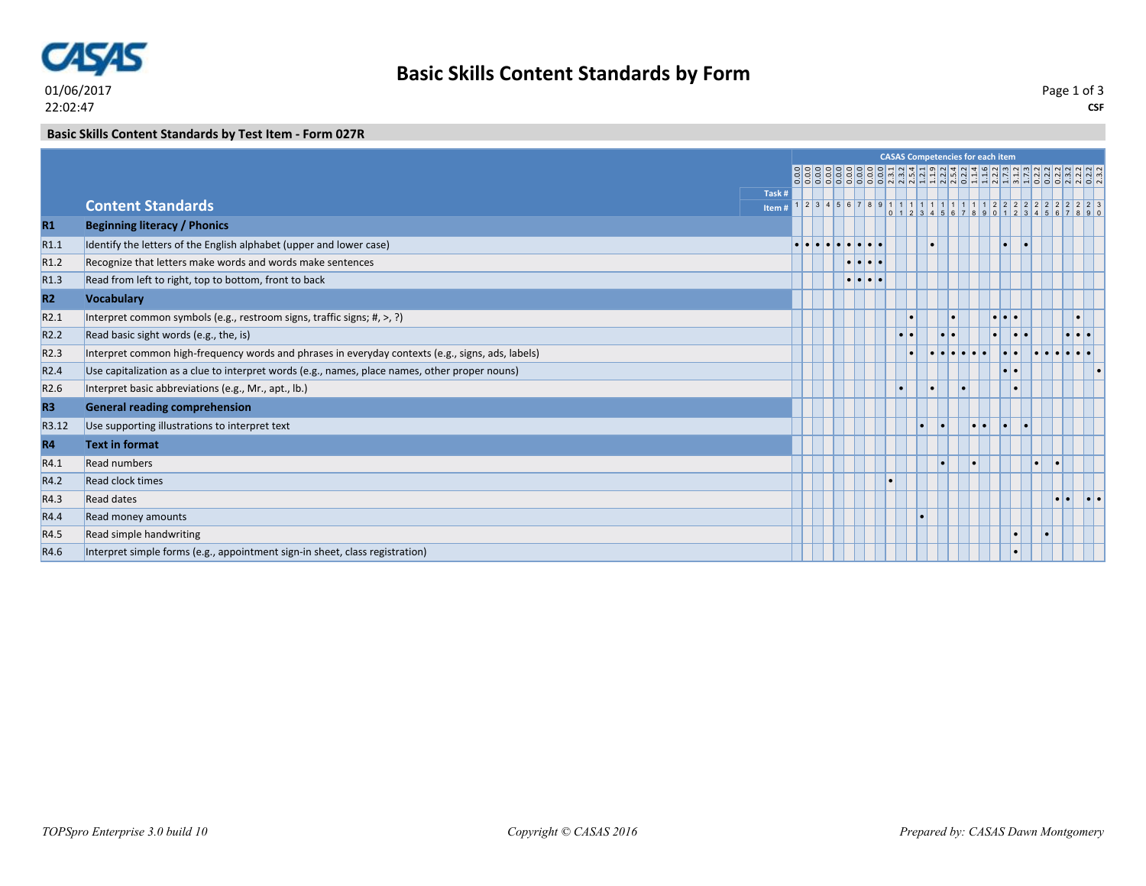

## **Basic Skills Content Standards by Form**

**CSF** Page 1 of 3

**Basic Skills Content Standards by Test Item - Form 027R**

|                  |                                                                                                   | <b>CASAS Competencies for each item</b> |  |  |  |                                           |  |  |           |           |  |                         |  |                         |     |                  |                     |  |
|------------------|---------------------------------------------------------------------------------------------------|-----------------------------------------|--|--|--|-------------------------------------------|--|--|-----------|-----------|--|-------------------------|--|-------------------------|-----|------------------|---------------------|--|
|                  |                                                                                                   |                                         |  |  |  |                                           |  |  |           |           |  |                         |  |                         |     |                  |                     |  |
|                  | Task #                                                                                            |                                         |  |  |  |                                           |  |  |           |           |  |                         |  |                         |     |                  |                     |  |
|                  | <b>Content Standards</b><br>Item#                                                                 |                                         |  |  |  |                                           |  |  |           |           |  | $0$ 1 2 3 4 5 6 7 8 9 0 |  |                         |     |                  |                     |  |
| R1               | <b>Beginning literacy / Phonics</b>                                                               |                                         |  |  |  |                                           |  |  |           |           |  |                         |  |                         |     |                  |                     |  |
| R <sub>1.1</sub> | Identify the letters of the English alphabet (upper and lower case)                               |                                         |  |  |  |                                           |  |  |           |           |  |                         |  | l.                      |     |                  |                     |  |
| R <sub>1.2</sub> | Recognize that letters make words and words make sentences                                        |                                         |  |  |  | $\bullet\bullet\bullet\bullet$            |  |  |           |           |  |                         |  |                         |     |                  |                     |  |
| R <sub>1.3</sub> | Read from left to right, top to bottom, front to back                                             |                                         |  |  |  | $  \bullet   \bullet   \bullet   \bullet$ |  |  |           |           |  |                         |  |                         |     |                  |                     |  |
| R <sub>2</sub>   | <b>Vocabulary</b>                                                                                 |                                         |  |  |  |                                           |  |  |           |           |  |                         |  |                         |     |                  |                     |  |
| R2.1             | Interpret common symbols (e.g., restroom signs, traffic signs; #, >, ?)                           |                                         |  |  |  |                                           |  |  |           |           |  |                         |  | .                       |     |                  |                     |  |
| R <sub>2.2</sub> | Read basic sight words (e.g., the, is)                                                            |                                         |  |  |  |                                           |  |  |           | $\bullet$ |  |                         |  | o.                      |     |                  | $\cdot \cdot \cdot$ |  |
| R <sub>2.3</sub> | Interpret common high-frequency words and phrases in everyday contexts (e.g., signs, ads, labels) |                                         |  |  |  |                                           |  |  |           |           |  |                         |  |                         |     |                  |                     |  |
| R <sub>2.4</sub> | Use capitalization as a clue to interpret words (e.g., names, place names, other proper nouns)    |                                         |  |  |  |                                           |  |  |           |           |  |                         |  | $  \bullet   \bullet  $ |     |                  |                     |  |
| R <sub>2.6</sub> | Interpret basic abbreviations (e.g., Mr., apt., lb.)                                              |                                         |  |  |  |                                           |  |  |           |           |  |                         |  | <b>C</b>                |     |                  |                     |  |
| R <sub>3</sub>   | <b>General reading comprehension</b>                                                              |                                         |  |  |  |                                           |  |  |           |           |  |                         |  |                         |     |                  |                     |  |
| R3.12            | Use supporting illustrations to interpret text                                                    |                                         |  |  |  |                                           |  |  | $\bullet$ | I۰        |  | $\bullet\bullet$        |  | l٠.                     | l e |                  |                     |  |
| R <sub>4</sub>   | <b>Text in format</b>                                                                             |                                         |  |  |  |                                           |  |  |           |           |  |                         |  |                         |     |                  |                     |  |
| R4.1             | <b>Read numbers</b>                                                                               |                                         |  |  |  |                                           |  |  |           |           |  |                         |  |                         |     |                  |                     |  |
| R4.2             | <b>Read clock times</b>                                                                           |                                         |  |  |  |                                           |  |  |           |           |  |                         |  |                         |     |                  |                     |  |
| R4.3             | <b>Read dates</b>                                                                                 |                                         |  |  |  |                                           |  |  |           |           |  |                         |  |                         |     | $\bullet\bullet$ | .                   |  |
| R4.4             | Read money amounts                                                                                |                                         |  |  |  |                                           |  |  |           |           |  |                         |  |                         |     |                  |                     |  |
| R4.5             | Read simple handwriting                                                                           |                                         |  |  |  |                                           |  |  |           |           |  |                         |  | $\bullet$               |     |                  |                     |  |
| R4.6             | Interpret simple forms (e.g., appointment sign-in sheet, class registration)                      |                                         |  |  |  |                                           |  |  |           |           |  |                         |  |                         |     |                  |                     |  |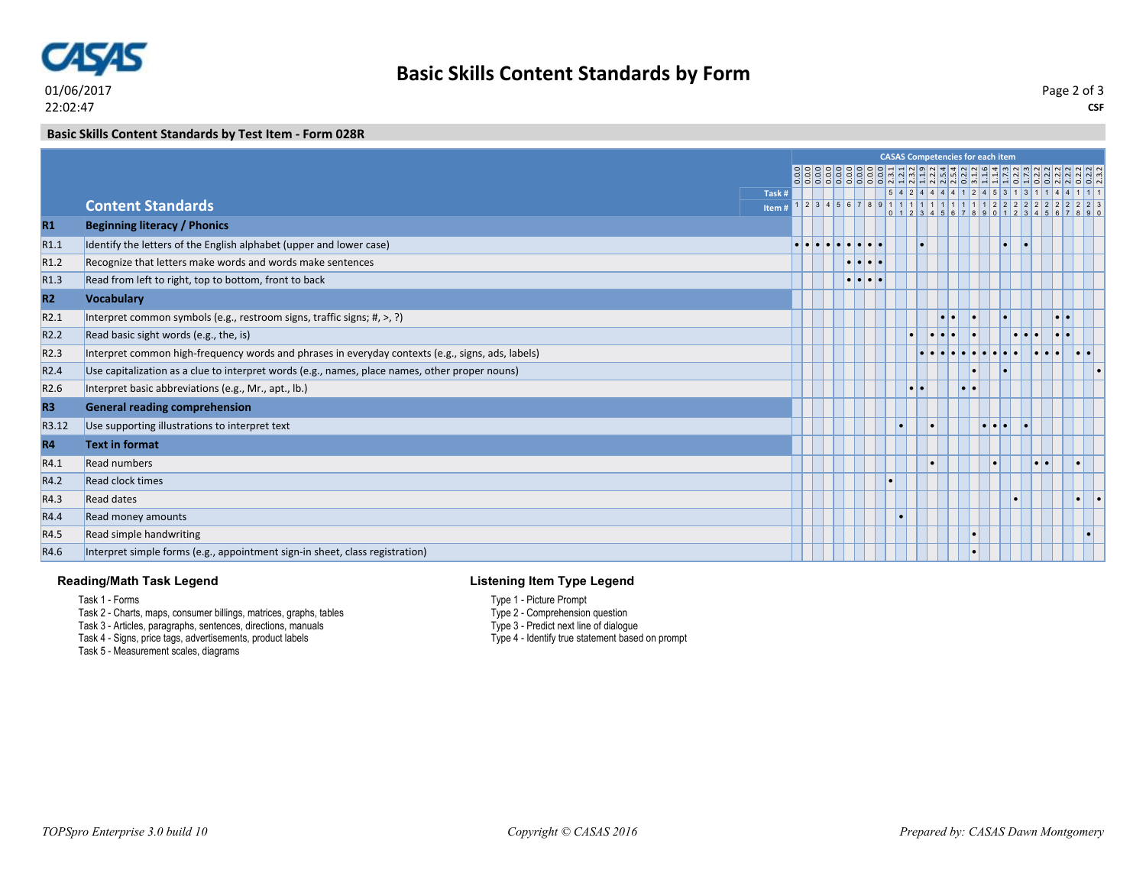

**Basic Skills Content Standards by Form**

**CSF** Page 2 of 3

**Basic Skills Content Standards by Test Item - Form 028R**

|                  |                                                                                                   | <b>CASAS Competencies for each item</b> |  |  |                                                                                               |                                             |                           |  |                  |  |  |                  |                                   |    |                       |  |
|------------------|---------------------------------------------------------------------------------------------------|-----------------------------------------|--|--|-----------------------------------------------------------------------------------------------|---------------------------------------------|---------------------------|--|------------------|--|--|------------------|-----------------------------------|----|-----------------------|--|
|                  |                                                                                                   |                                         |  |  |                                                                                               |                                             |                           |  |                  |  |  |                  |                                   |    |                       |  |
|                  | Task #                                                                                            |                                         |  |  |                                                                                               |                                             |                           |  |                  |  |  |                  |                                   |    | 54244441245313114411  |  |
|                  | <b>Content Standards</b><br>Item #                                                                |                                         |  |  |                                                                                               |                                             | 2 3 4 5 6 7 8 9 1 1 1 1 1 |  |                  |  |  |                  | 1 1 1 1 1 2 2 2 2 2 2             |    |                       |  |
| R1               | <b>Beginning literacy / Phonics</b>                                                               |                                         |  |  |                                                                                               |                                             |                           |  |                  |  |  |                  |                                   |    |                       |  |
| R1.1             | Identify the letters of the English alphabet (upper and lower case)                               |                                         |  |  | $  \bullet   \bullet   \bullet   \bullet   \bullet   \bullet   \bullet   \bullet   \bullet  $ |                                             |                           |  |                  |  |  |                  |                                   |    |                       |  |
| R1.2             | Recognize that letters make words and words make sentences                                        |                                         |  |  |                                                                                               | $  \bullet   \bullet   \bullet   \bullet$   |                           |  |                  |  |  |                  |                                   |    |                       |  |
| R1.3             | Read from left to right, top to bottom, front to back                                             |                                         |  |  |                                                                                               | $  \bullet   \bullet   \bullet   \bullet  $ |                           |  |                  |  |  |                  |                                   |    |                       |  |
| <b>R2</b>        | <b>Vocabulary</b>                                                                                 |                                         |  |  |                                                                                               |                                             |                           |  |                  |  |  |                  |                                   |    |                       |  |
| R <sub>2.1</sub> | Interpret common symbols (e.g., restroom signs, traffic signs; #, >, ?)                           |                                         |  |  |                                                                                               |                                             |                           |  |                  |  |  | $\bullet$        |                                   |    | $  \bullet   \bullet$ |  |
| R <sub>2.2</sub> | Read basic sight words (e.g., the, is)                                                            |                                         |  |  |                                                                                               |                                             |                           |  |                  |  |  |                  |                                   |    |                       |  |
| R <sub>2.3</sub> | Interpret common high-frequency words and phrases in everyday contexts (e.g., signs, ads, labels) |                                         |  |  |                                                                                               |                                             |                           |  |                  |  |  |                  |                                   |    |                       |  |
| R <sub>2.4</sub> | Use capitalization as a clue to interpret words (e.g., names, place names, other proper nouns)    |                                         |  |  |                                                                                               |                                             |                           |  |                  |  |  | $\bullet$        |                                   |    |                       |  |
| R <sub>2.6</sub> | Interpret basic abbreviations (e.g., Mr., apt., lb.)                                              |                                         |  |  |                                                                                               |                                             |                           |  | $\bullet\bullet$ |  |  | $\bullet\bullet$ |                                   |    |                       |  |
| <b>R3</b>        | <b>General reading comprehension</b>                                                              |                                         |  |  |                                                                                               |                                             |                           |  |                  |  |  |                  |                                   |    |                       |  |
| R3.12            | Use supporting illustrations to interpret text                                                    |                                         |  |  |                                                                                               |                                             |                           |  |                  |  |  |                  | $  \bullet   \bullet   \bullet  $ | ∣∙ |                       |  |
| <b>R4</b>        | <b>Text in format</b>                                                                             |                                         |  |  |                                                                                               |                                             |                           |  |                  |  |  |                  |                                   |    |                       |  |
| R4.1             | <b>Read numbers</b>                                                                               |                                         |  |  |                                                                                               |                                             |                           |  |                  |  |  |                  |                                   |    |                       |  |
| R4.2             | <b>Read clock times</b>                                                                           |                                         |  |  |                                                                                               |                                             |                           |  |                  |  |  |                  |                                   |    |                       |  |
| R4.3             | <b>Read dates</b>                                                                                 |                                         |  |  |                                                                                               |                                             |                           |  |                  |  |  |                  |                                   |    |                       |  |
| R4.4             | Read money amounts                                                                                |                                         |  |  |                                                                                               |                                             |                           |  |                  |  |  |                  |                                   |    |                       |  |
| R4.5             | Read simple handwriting                                                                           |                                         |  |  |                                                                                               |                                             |                           |  |                  |  |  |                  |                                   |    |                       |  |
| R4.6             | Interpret simple forms (e.g., appointment sign-in sheet, class registration)                      |                                         |  |  |                                                                                               |                                             |                           |  |                  |  |  |                  |                                   |    |                       |  |

## **Reading/Math Task Legend**

Task 1 - Forms

- Task 2 Charts, maps, consumer billings, matrices, graphs, tables
- Task 3 Articles, paragraphs, sentences, directions, manuals
- Task 4 Signs, price tags, advertisements, product labels

Task 5 - Measurement scales, diagrams

## **Listening Item Type Legend**

- Type 1 Picture Prompt
- Type 2 Comprehension question
- Type 3 Predict next line of dialogue
- Type 4 Identify true statement based on prompt